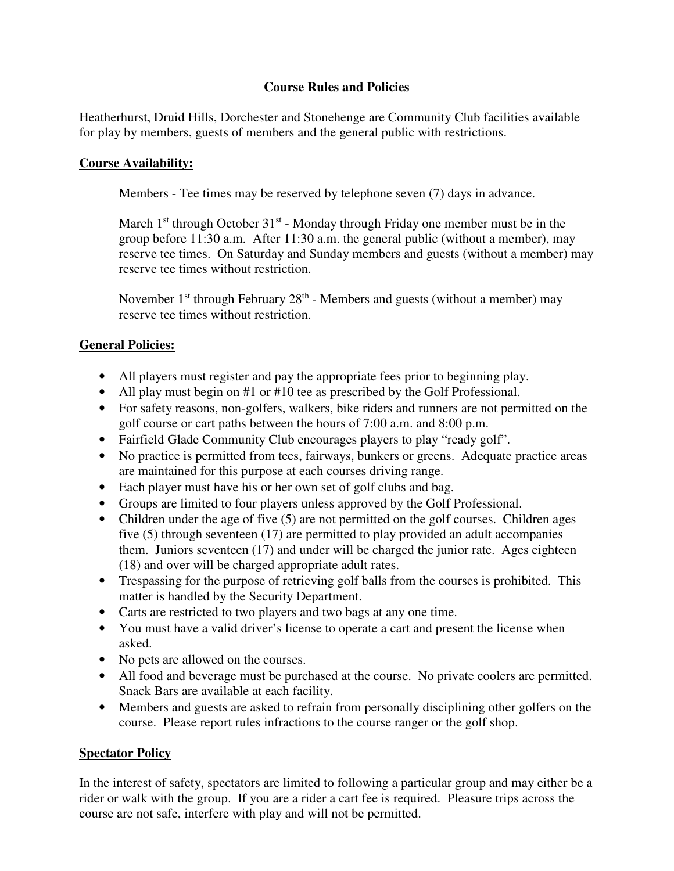## **Course Rules and Policies**

Heatherhurst, Druid Hills, Dorchester and Stonehenge are Community Club facilities available for play by members, guests of members and the general public with restrictions.

## **Course Availability:**

Members - Tee times may be reserved by telephone seven (7) days in advance.

March  $1<sup>st</sup>$  through October  $31<sup>st</sup>$  - Monday through Friday one member must be in the group before 11:30 a.m. After 11:30 a.m. the general public (without a member), may reserve tee times. On Saturday and Sunday members and guests (without a member) may reserve tee times without restriction.

November  $1<sup>st</sup>$  through February  $28<sup>th</sup>$  - Members and guests (without a member) may reserve tee times without restriction.

# **General Policies:**

- All players must register and pay the appropriate fees prior to beginning play.
- All play must begin on #1 or #10 tee as prescribed by the Golf Professional.
- For safety reasons, non-golfers, walkers, bike riders and runners are not permitted on the golf course or cart paths between the hours of 7:00 a.m. and 8:00 p.m.
- Fairfield Glade Community Club encourages players to play "ready golf".
- No practice is permitted from tees, fairways, bunkers or greens. Adequate practice areas are maintained for this purpose at each courses driving range.
- Each player must have his or her own set of golf clubs and bag.
- Groups are limited to four players unless approved by the Golf Professional.
- Children under the age of five (5) are not permitted on the golf courses. Children ages five (5) through seventeen (17) are permitted to play provided an adult accompanies them. Juniors seventeen (17) and under will be charged the junior rate. Ages eighteen (18) and over will be charged appropriate adult rates.
- Trespassing for the purpose of retrieving golf balls from the courses is prohibited. This matter is handled by the Security Department.
- Carts are restricted to two players and two bags at any one time.
- You must have a valid driver's license to operate a cart and present the license when asked.
- No pets are allowed on the courses.
- All food and beverage must be purchased at the course. No private coolers are permitted. Snack Bars are available at each facility.
- Members and guests are asked to refrain from personally disciplining other golfers on the course. Please report rules infractions to the course ranger or the golf shop.

# **Spectator Policy**

In the interest of safety, spectators are limited to following a particular group and may either be a rider or walk with the group. If you are a rider a cart fee is required. Pleasure trips across the course are not safe, interfere with play and will not be permitted.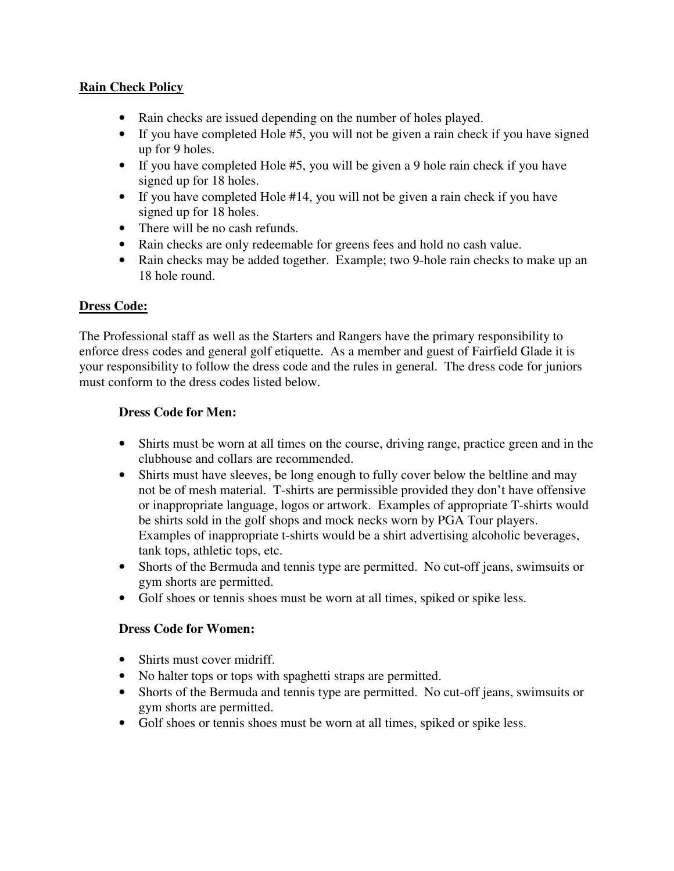## **Rain Check Policy**

- Rain checks are issued depending on the number of holes played.
- If you have completed Hole #5, you will not be given a rain check if you have signed up for 9 holes.
- If you have completed Hole #5, you will be given a 9 hole rain check if you have signed up for 18 holes.
- If you have completed Hole #14, you will not be given a rain check if you have signed up for 18 holes.
- There will be no cash refunds.
- Rain checks are only redeemable for greens fees and hold no cash value.
- Rain checks may be added together. Example; two 9-hole rain checks to make up an 18 hole round.

# **Dress Code:**

The Professional staff as well as the Starters and Rangers have the primary responsibility to enforce dress codes and general golf etiquette. As a member and guest of Fairfield Glade it is your responsibility to follow the dress code and the rules in general. The dress code for juniors must conform to the dress codes listed below.

## **Dress Code for Men:**

- Shirts must be worn at all times on the course, driving range, practice green and in the clubhouse and collars are recommended.
- Shirts must have sleeves, be long enough to fully cover below the beltline and may not be of mesh material. T-shirts are permissible provided they don't have offensive or inappropriate language, logos or artwork. Examples of appropriate T-shirts would be shirts sold in the golf shops and mock necks worn by PGA Tour players. Examples of inappropriate t-shirts would be a shirt advertising alcoholic beverages, tank tops, athletic tops, etc.
- Shorts of the Bermuda and tennis type are permitted. No cut-off jeans, swimsuits or gym shorts are permitted.
- Golf shoes or tennis shoes must be worn at all times, spiked or spike less.

## **Dress Code for Women:**

- Shirts must cover midriff.
- No halter tops or tops with spaghetti straps are permitted.
- Shorts of the Bermuda and tennis type are permitted. No cut-off jeans, swimsuits or gym shorts are permitted.
- Golf shoes or tennis shoes must be worn at all times, spiked or spike less.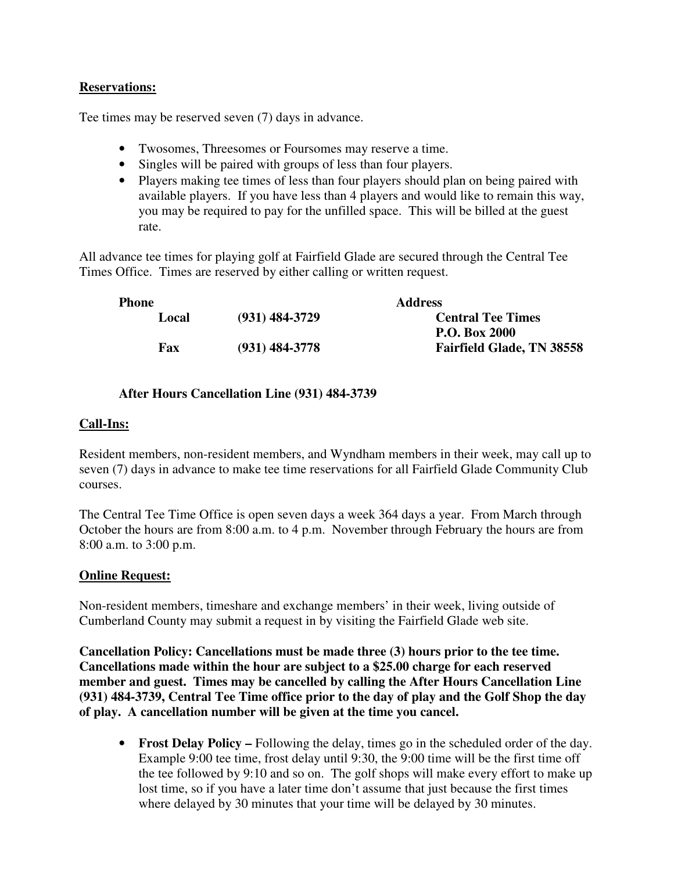### **Reservations:**

Tee times may be reserved seven (7) days in advance.

- Twosomes, Threesomes or Foursomes may reserve a time.
- Singles will be paired with groups of less than four players.
- Players making tee times of less than four players should plan on being paired with available players. If you have less than 4 players and would like to remain this way, you may be required to pay for the unfilled space. This will be billed at the guest rate.

All advance tee times for playing golf at Fairfield Glade are secured through the Central Tee Times Office. Times are reserved by either calling or written request.

| <b>Phone</b> | <b>Address</b>   |                                  |
|--------------|------------------|----------------------------------|
| Local        | $(931)$ 484-3729 | <b>Central Tee Times</b>         |
|              |                  | <b>P.O. Box 2000</b>             |
| Fax          | $(931)$ 484-3778 | <b>Fairfield Glade, TN 38558</b> |

## **After Hours Cancellation Line (931) 484-3739**

## **Call-Ins:**

Resident members, non-resident members, and Wyndham members in their week, may call up to seven (7) days in advance to make tee time reservations for all Fairfield Glade Community Club courses.

The Central Tee Time Office is open seven days a week 364 days a year. From March through October the hours are from 8:00 a.m. to 4 p.m. November through February the hours are from 8:00 a.m. to 3:00 p.m.

## **Online Request:**

Non-resident members, timeshare and exchange members' in their week, living outside of Cumberland County may submit a request in by visiting the Fairfield Glade web site.

**Cancellation Policy: Cancellations must be made three (3) hours prior to the tee time. Cancellations made within the hour are subject to a \$25.00 charge for each reserved member and guest. Times may be cancelled by calling the After Hours Cancellation Line (931) 484-3739, Central Tee Time office prior to the day of play and the Golf Shop the day of play. A cancellation number will be given at the time you cancel.** 

• **Frost Delay Policy** – Following the delay, times go in the scheduled order of the day. Example 9:00 tee time, frost delay until 9:30, the 9:00 time will be the first time off the tee followed by 9:10 and so on. The golf shops will make every effort to make up lost time, so if you have a later time don't assume that just because the first times where delayed by 30 minutes that your time will be delayed by 30 minutes.